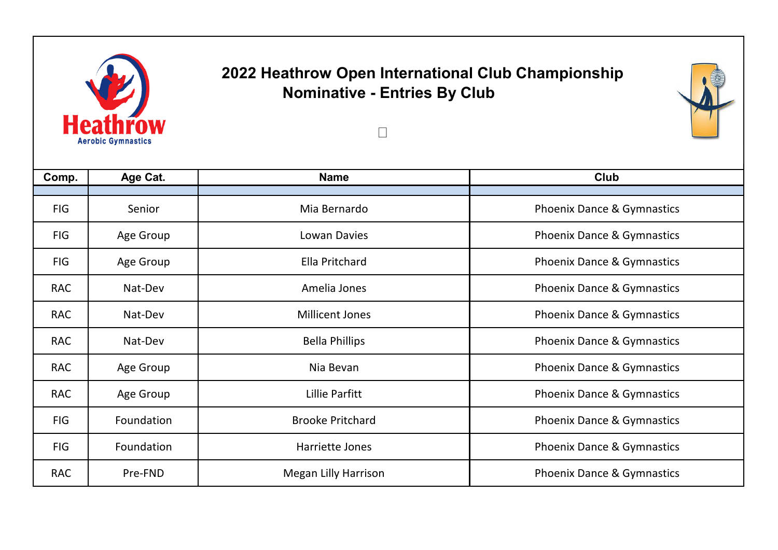

## **2022 Heathrow Open International Club Championship Nominative - Entries By Club**



| Comp.      | Age Cat.   | <b>Name</b>                 | <b>Club</b>                |
|------------|------------|-----------------------------|----------------------------|
|            |            |                             |                            |
| <b>FIG</b> | Senior     | Mia Bernardo                | Phoenix Dance & Gymnastics |
| <b>FIG</b> | Age Group  | Lowan Davies                | Phoenix Dance & Gymnastics |
| <b>FIG</b> | Age Group  | Ella Pritchard              | Phoenix Dance & Gymnastics |
| <b>RAC</b> | Nat-Dev    | Amelia Jones                | Phoenix Dance & Gymnastics |
| <b>RAC</b> | Nat-Dev    | <b>Millicent Jones</b>      | Phoenix Dance & Gymnastics |
| <b>RAC</b> | Nat-Dev    | <b>Bella Phillips</b>       | Phoenix Dance & Gymnastics |
| <b>RAC</b> | Age Group  | Nia Bevan                   | Phoenix Dance & Gymnastics |
| <b>RAC</b> | Age Group  | Lillie Parfitt              | Phoenix Dance & Gymnastics |
| <b>FIG</b> | Foundation | <b>Brooke Pritchard</b>     | Phoenix Dance & Gymnastics |
| <b>FIG</b> | Foundation | Harriette Jones             | Phoenix Dance & Gymnastics |
| <b>RAC</b> | Pre-FND    | <b>Megan Lilly Harrison</b> | Phoenix Dance & Gymnastics |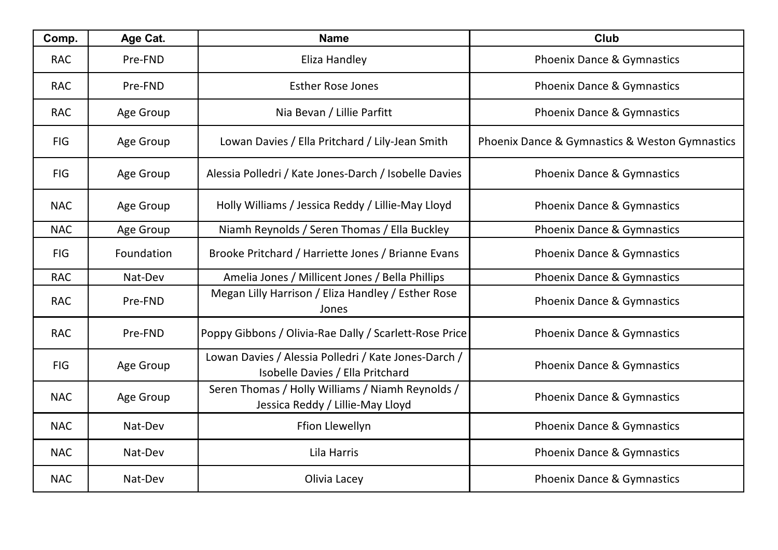| Comp.      | Age Cat.   | <b>Name</b>                                                                              | <b>Club</b>                                    |
|------------|------------|------------------------------------------------------------------------------------------|------------------------------------------------|
| <b>RAC</b> | Pre-FND    | Eliza Handley                                                                            | Phoenix Dance & Gymnastics                     |
| <b>RAC</b> | Pre-FND    | <b>Esther Rose Jones</b>                                                                 | Phoenix Dance & Gymnastics                     |
| <b>RAC</b> | Age Group  | Nia Bevan / Lillie Parfitt                                                               | Phoenix Dance & Gymnastics                     |
| <b>FIG</b> | Age Group  | Lowan Davies / Ella Pritchard / Lily-Jean Smith                                          | Phoenix Dance & Gymnastics & Weston Gymnastics |
| FIG        | Age Group  | Alessia Polledri / Kate Jones-Darch / Isobelle Davies                                    | <b>Phoenix Dance &amp; Gymnastics</b>          |
| <b>NAC</b> | Age Group  | Holly Williams / Jessica Reddy / Lillie-May Lloyd                                        | Phoenix Dance & Gymnastics                     |
| <b>NAC</b> | Age Group  | Niamh Reynolds / Seren Thomas / Ella Buckley                                             | Phoenix Dance & Gymnastics                     |
| <b>FIG</b> | Foundation | Brooke Pritchard / Harriette Jones / Brianne Evans                                       | Phoenix Dance & Gymnastics                     |
| <b>RAC</b> | Nat-Dev    | Amelia Jones / Millicent Jones / Bella Phillips                                          | Phoenix Dance & Gymnastics                     |
| <b>RAC</b> | Pre-FND    | Megan Lilly Harrison / Eliza Handley / Esther Rose<br>Jones                              | Phoenix Dance & Gymnastics                     |
| <b>RAC</b> | Pre-FND    | Poppy Gibbons / Olivia-Rae Dally / Scarlett-Rose Price                                   | Phoenix Dance & Gymnastics                     |
| <b>FIG</b> | Age Group  | Lowan Davies / Alessia Polledri / Kate Jones-Darch /<br>Isobelle Davies / Ella Pritchard | <b>Phoenix Dance &amp; Gymnastics</b>          |
| <b>NAC</b> | Age Group  | Seren Thomas / Holly Williams / Niamh Reynolds /<br>Jessica Reddy / Lillie-May Lloyd     | Phoenix Dance & Gymnastics                     |
| <b>NAC</b> | Nat-Dev    | Ffion Llewellyn                                                                          | Phoenix Dance & Gymnastics                     |
| <b>NAC</b> | Nat-Dev    | Lila Harris                                                                              | Phoenix Dance & Gymnastics                     |
| <b>NAC</b> | Nat-Dev    | Olivia Lacey                                                                             | <b>Phoenix Dance &amp; Gymnastics</b>          |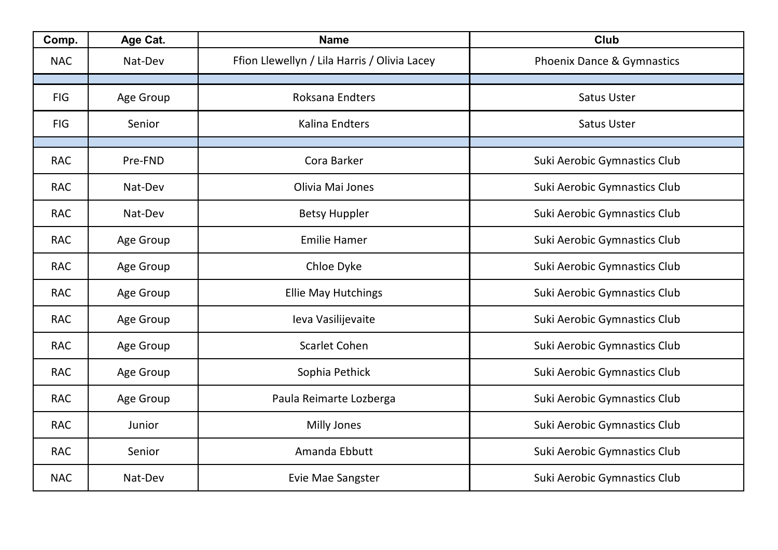| Comp.      | Age Cat.  | <b>Name</b>                                  | <b>Club</b>                  |
|------------|-----------|----------------------------------------------|------------------------------|
| <b>NAC</b> | Nat-Dev   | Ffion Llewellyn / Lila Harris / Olivia Lacey | Phoenix Dance & Gymnastics   |
|            |           |                                              |                              |
| <b>FIG</b> | Age Group | <b>Roksana Endters</b>                       | <b>Satus Uster</b>           |
| <b>FIG</b> | Senior    | <b>Kalina Endters</b>                        | <b>Satus Uster</b>           |
|            |           |                                              |                              |
| <b>RAC</b> | Pre-FND   | Cora Barker                                  | Suki Aerobic Gymnastics Club |
| <b>RAC</b> | Nat-Dev   | Olivia Mai Jones                             | Suki Aerobic Gymnastics Club |
| <b>RAC</b> | Nat-Dev   | <b>Betsy Huppler</b>                         | Suki Aerobic Gymnastics Club |
| <b>RAC</b> | Age Group | <b>Emilie Hamer</b>                          | Suki Aerobic Gymnastics Club |
| <b>RAC</b> | Age Group | Chloe Dyke                                   | Suki Aerobic Gymnastics Club |
| <b>RAC</b> | Age Group | <b>Ellie May Hutchings</b>                   | Suki Aerobic Gymnastics Club |
| <b>RAC</b> | Age Group | Ieva Vasilijevaite                           | Suki Aerobic Gymnastics Club |
| <b>RAC</b> | Age Group | <b>Scarlet Cohen</b>                         | Suki Aerobic Gymnastics Club |
| <b>RAC</b> | Age Group | Sophia Pethick                               | Suki Aerobic Gymnastics Club |
| <b>RAC</b> | Age Group | Paula Reimarte Lozberga                      | Suki Aerobic Gymnastics Club |
| <b>RAC</b> | Junior    | <b>Milly Jones</b>                           | Suki Aerobic Gymnastics Club |
| <b>RAC</b> | Senior    | Amanda Ebbutt                                | Suki Aerobic Gymnastics Club |
| <b>NAC</b> | Nat-Dev   | Evie Mae Sangster                            | Suki Aerobic Gymnastics Club |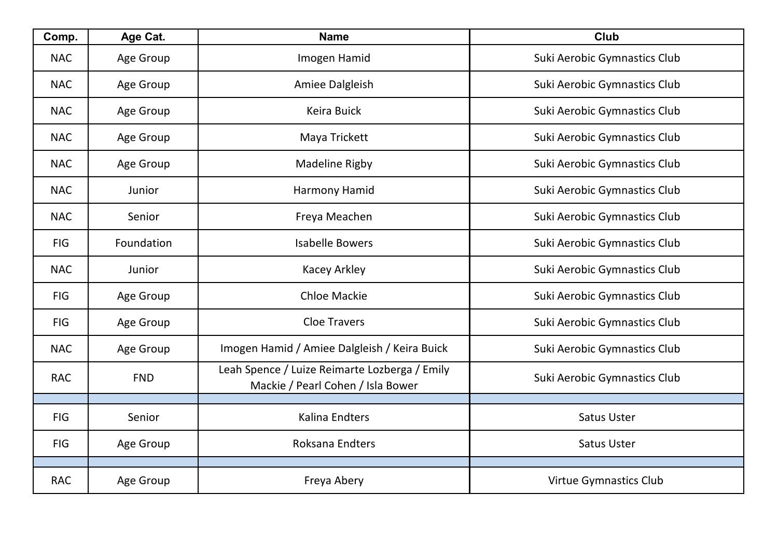| Comp.      | Age Cat.   | <b>Name</b>                                                                        | <b>Club</b>                  |
|------------|------------|------------------------------------------------------------------------------------|------------------------------|
| <b>NAC</b> | Age Group  | Imogen Hamid                                                                       | Suki Aerobic Gymnastics Club |
| <b>NAC</b> | Age Group  | Amiee Dalgleish                                                                    | Suki Aerobic Gymnastics Club |
| <b>NAC</b> | Age Group  | Keira Buick                                                                        | Suki Aerobic Gymnastics Club |
| <b>NAC</b> | Age Group  | Maya Trickett                                                                      | Suki Aerobic Gymnastics Club |
| <b>NAC</b> | Age Group  | <b>Madeline Rigby</b>                                                              | Suki Aerobic Gymnastics Club |
| <b>NAC</b> | Junior     | Harmony Hamid                                                                      | Suki Aerobic Gymnastics Club |
| <b>NAC</b> | Senior     | Freya Meachen                                                                      | Suki Aerobic Gymnastics Club |
| <b>FIG</b> | Foundation | <b>Isabelle Bowers</b>                                                             | Suki Aerobic Gymnastics Club |
| <b>NAC</b> | Junior     | <b>Kacey Arkley</b>                                                                | Suki Aerobic Gymnastics Club |
| <b>FIG</b> | Age Group  | <b>Chloe Mackie</b>                                                                | Suki Aerobic Gymnastics Club |
| <b>FIG</b> | Age Group  | <b>Cloe Travers</b>                                                                | Suki Aerobic Gymnastics Club |
| <b>NAC</b> | Age Group  | Imogen Hamid / Amiee Dalgleish / Keira Buick                                       | Suki Aerobic Gymnastics Club |
| <b>RAC</b> | <b>FND</b> | Leah Spence / Luize Reimarte Lozberga / Emily<br>Mackie / Pearl Cohen / Isla Bower | Suki Aerobic Gymnastics Club |
|            |            |                                                                                    |                              |
| <b>FIG</b> | Senior     | <b>Kalina Endters</b>                                                              | <b>Satus Uster</b>           |
| FIG        | Age Group  | Roksana Endters                                                                    | <b>Satus Uster</b>           |
|            |            |                                                                                    |                              |
| <b>RAC</b> | Age Group  | Freya Abery                                                                        | Virtue Gymnastics Club       |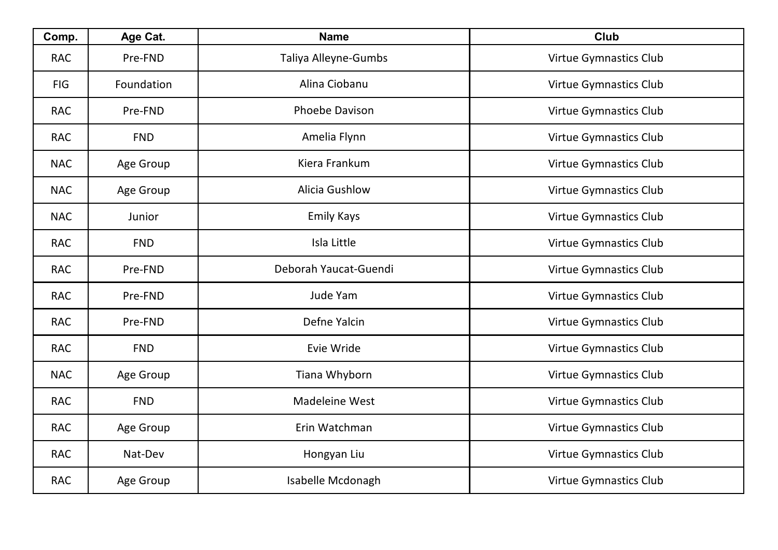| Comp.      | Age Cat.   | <b>Name</b>           | <b>Club</b>                   |
|------------|------------|-----------------------|-------------------------------|
| <b>RAC</b> | Pre-FND    | Taliya Alleyne-Gumbs  | <b>Virtue Gymnastics Club</b> |
| <b>FIG</b> | Foundation | Alina Ciobanu         | Virtue Gymnastics Club        |
| <b>RAC</b> | Pre-FND    | Phoebe Davison        | Virtue Gymnastics Club        |
| <b>RAC</b> | <b>FND</b> | Amelia Flynn          | Virtue Gymnastics Club        |
| <b>NAC</b> | Age Group  | Kiera Frankum         | Virtue Gymnastics Club        |
| <b>NAC</b> | Age Group  | <b>Alicia Gushlow</b> | Virtue Gymnastics Club        |
| <b>NAC</b> | Junior     | <b>Emily Kays</b>     | Virtue Gymnastics Club        |
| <b>RAC</b> | <b>FND</b> | Isla Little           | Virtue Gymnastics Club        |
| <b>RAC</b> | Pre-FND    | Deborah Yaucat-Guendi | Virtue Gymnastics Club        |
| <b>RAC</b> | Pre-FND    | Jude Yam              | Virtue Gymnastics Club        |
| <b>RAC</b> | Pre-FND    | Defne Yalcin          | Virtue Gymnastics Club        |
| <b>RAC</b> | <b>FND</b> | Evie Wride            | Virtue Gymnastics Club        |
| <b>NAC</b> | Age Group  | Tiana Whyborn         | Virtue Gymnastics Club        |
| <b>RAC</b> | <b>FND</b> | <b>Madeleine West</b> | Virtue Gymnastics Club        |
| <b>RAC</b> | Age Group  | Erin Watchman         | Virtue Gymnastics Club        |
| <b>RAC</b> | Nat-Dev    | Hongyan Liu           | Virtue Gymnastics Club        |
| <b>RAC</b> | Age Group  | Isabelle Mcdonagh     | Virtue Gymnastics Club        |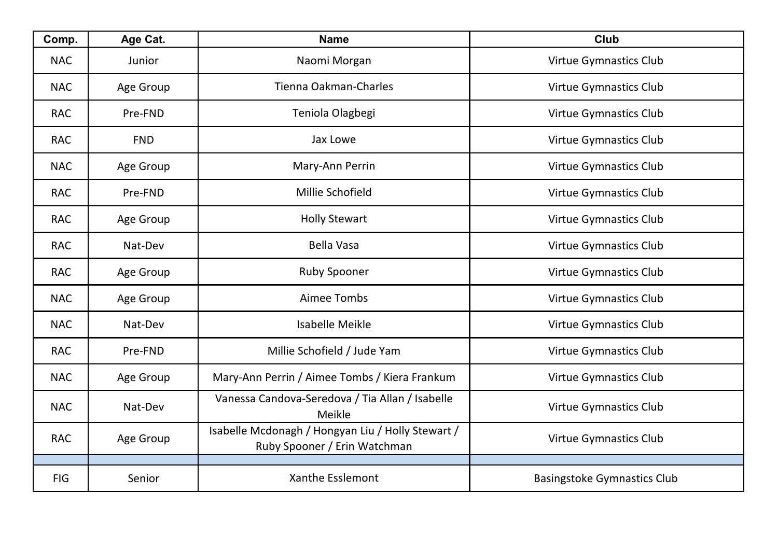| Comp.      | Age Cat.   | <b>Name</b>                                                                       | Club                               |
|------------|------------|-----------------------------------------------------------------------------------|------------------------------------|
| <b>NAC</b> | Junior     | Naomi Morgan                                                                      | Virtue Gymnastics Club             |
| <b>NAC</b> | Age Group  | Tienna Oakman-Charles                                                             | Virtue Gymnastics Club             |
| <b>RAC</b> | Pre-FND    | Teniola Olagbegi                                                                  | Virtue Gymnastics Club             |
| <b>RAC</b> | <b>FND</b> | Jax Lowe                                                                          | Virtue Gymnastics Club             |
| <b>NAC</b> | Age Group  | Mary-Ann Perrin                                                                   | Virtue Gymnastics Club             |
| <b>RAC</b> | Pre-FND    | Millie Schofield                                                                  | Virtue Gymnastics Club             |
| <b>RAC</b> | Age Group  | <b>Holly Stewart</b>                                                              | Virtue Gymnastics Club             |
| <b>RAC</b> | Nat-Dev    | <b>Bella Vasa</b>                                                                 | Virtue Gymnastics Club             |
| <b>RAC</b> | Age Group  | <b>Ruby Spooner</b>                                                               | Virtue Gymnastics Club             |
| <b>NAC</b> | Age Group  | Aimee Tombs                                                                       | Virtue Gymnastics Club             |
| <b>NAC</b> | Nat-Dev    | <b>Isabelle Meikle</b>                                                            | Virtue Gymnastics Club             |
| <b>RAC</b> | Pre-FND    | Millie Schofield / Jude Yam                                                       | Virtue Gymnastics Club             |
| <b>NAC</b> | Age Group  | Mary-Ann Perrin / Aimee Tombs / Kiera Frankum                                     | Virtue Gymnastics Club             |
| <b>NAC</b> | Nat-Dev    | Vanessa Candova-Seredova / Tia Allan / Isabelle<br>Meikle                         | <b>Virtue Gymnastics Club</b>      |
| <b>RAC</b> | Age Group  | Isabelle Mcdonagh / Hongyan Liu / Holly Stewart /<br>Ruby Spooner / Erin Watchman | <b>Virtue Gymnastics Club</b>      |
|            |            |                                                                                   |                                    |
| <b>FIG</b> | Senior     | Xanthe Esslemont                                                                  | <b>Basingstoke Gymnastics Club</b> |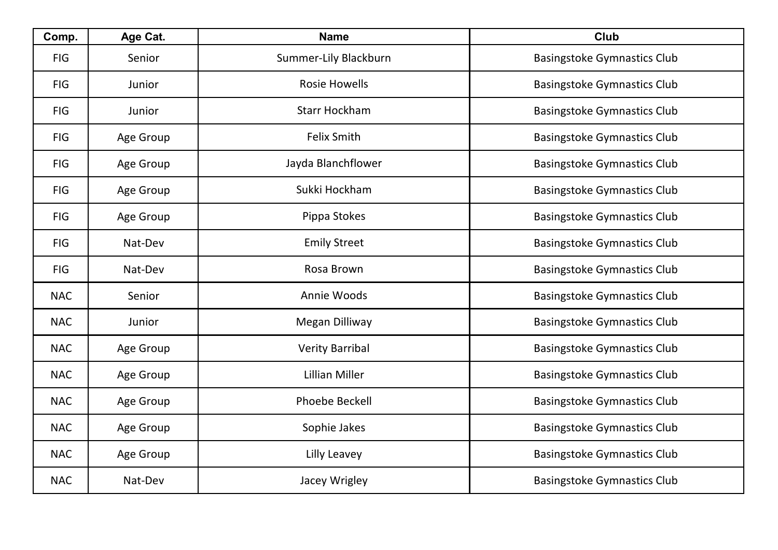| Comp.      | Age Cat.  | <b>Name</b>            | <b>Club</b>                        |
|------------|-----------|------------------------|------------------------------------|
| <b>FIG</b> | Senior    | Summer-Lily Blackburn  | <b>Basingstoke Gymnastics Club</b> |
| <b>FIG</b> | Junior    | <b>Rosie Howells</b>   | <b>Basingstoke Gymnastics Club</b> |
| <b>FIG</b> | Junior    | <b>Starr Hockham</b>   | <b>Basingstoke Gymnastics Club</b> |
| <b>FIG</b> | Age Group | Felix Smith            | <b>Basingstoke Gymnastics Club</b> |
| FIG        | Age Group | Jayda Blanchflower     | <b>Basingstoke Gymnastics Club</b> |
| <b>FIG</b> | Age Group | Sukki Hockham          | <b>Basingstoke Gymnastics Club</b> |
| <b>FIG</b> | Age Group | Pippa Stokes           | <b>Basingstoke Gymnastics Club</b> |
| <b>FIG</b> | Nat-Dev   | <b>Emily Street</b>    | <b>Basingstoke Gymnastics Club</b> |
| <b>FIG</b> | Nat-Dev   | Rosa Brown             | <b>Basingstoke Gymnastics Club</b> |
| <b>NAC</b> | Senior    | Annie Woods            | <b>Basingstoke Gymnastics Club</b> |
| <b>NAC</b> | Junior    | Megan Dilliway         | <b>Basingstoke Gymnastics Club</b> |
| <b>NAC</b> | Age Group | <b>Verity Barribal</b> | <b>Basingstoke Gymnastics Club</b> |
| <b>NAC</b> | Age Group | <b>Lillian Miller</b>  | <b>Basingstoke Gymnastics Club</b> |
| <b>NAC</b> | Age Group | Phoebe Beckell         | <b>Basingstoke Gymnastics Club</b> |
| <b>NAC</b> | Age Group | Sophie Jakes           | <b>Basingstoke Gymnastics Club</b> |
| <b>NAC</b> | Age Group | Lilly Leavey           | <b>Basingstoke Gymnastics Club</b> |
| <b>NAC</b> | Nat-Dev   | Jacey Wrigley          | <b>Basingstoke Gymnastics Club</b> |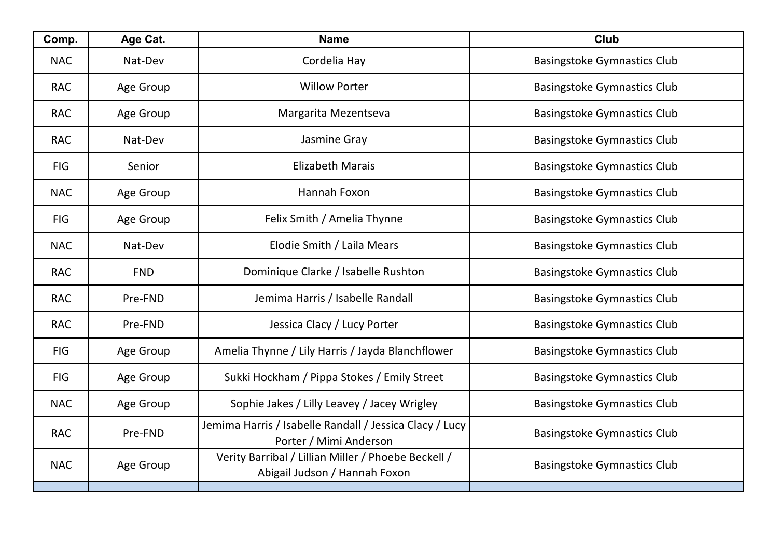| Comp.      | Age Cat.   | <b>Name</b>                                                                          | <b>Club</b>                        |
|------------|------------|--------------------------------------------------------------------------------------|------------------------------------|
| <b>NAC</b> | Nat-Dev    | Cordelia Hay                                                                         | <b>Basingstoke Gymnastics Club</b> |
| <b>RAC</b> | Age Group  | <b>Willow Porter</b>                                                                 | <b>Basingstoke Gymnastics Club</b> |
| <b>RAC</b> | Age Group  | Margarita Mezentseva                                                                 | <b>Basingstoke Gymnastics Club</b> |
| <b>RAC</b> | Nat-Dev    | Jasmine Gray                                                                         | <b>Basingstoke Gymnastics Club</b> |
| FIG        | Senior     | <b>Elizabeth Marais</b>                                                              | <b>Basingstoke Gymnastics Club</b> |
| <b>NAC</b> | Age Group  | Hannah Foxon                                                                         | <b>Basingstoke Gymnastics Club</b> |
| FIG        | Age Group  | Felix Smith / Amelia Thynne                                                          | <b>Basingstoke Gymnastics Club</b> |
| <b>NAC</b> | Nat-Dev    | Elodie Smith / Laila Mears                                                           | <b>Basingstoke Gymnastics Club</b> |
| <b>RAC</b> | <b>FND</b> | Dominique Clarke / Isabelle Rushton                                                  | <b>Basingstoke Gymnastics Club</b> |
| <b>RAC</b> | Pre-FND    | Jemima Harris / Isabelle Randall                                                     | <b>Basingstoke Gymnastics Club</b> |
| <b>RAC</b> | Pre-FND    | Jessica Clacy / Lucy Porter                                                          | <b>Basingstoke Gymnastics Club</b> |
| FIG        | Age Group  | Amelia Thynne / Lily Harris / Jayda Blanchflower                                     | <b>Basingstoke Gymnastics Club</b> |
| <b>FIG</b> | Age Group  | Sukki Hockham / Pippa Stokes / Emily Street                                          | <b>Basingstoke Gymnastics Club</b> |
| <b>NAC</b> | Age Group  | Sophie Jakes / Lilly Leavey / Jacey Wrigley                                          | <b>Basingstoke Gymnastics Club</b> |
| <b>RAC</b> | Pre-FND    | Jemima Harris / Isabelle Randall / Jessica Clacy / Lucy<br>Porter / Mimi Anderson    | <b>Basingstoke Gymnastics Club</b> |
| <b>NAC</b> | Age Group  | Verity Barribal / Lillian Miller / Phoebe Beckell /<br>Abigail Judson / Hannah Foxon | <b>Basingstoke Gymnastics Club</b> |
|            |            |                                                                                      |                                    |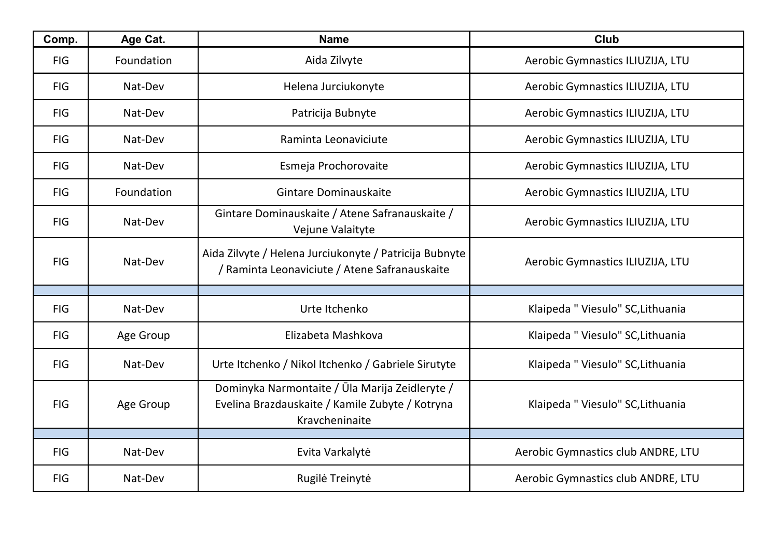| Comp.      | Age Cat.   | <b>Name</b>                                                                                                         | <b>Club</b>                        |
|------------|------------|---------------------------------------------------------------------------------------------------------------------|------------------------------------|
| FIG        | Foundation | Aida Zilvyte                                                                                                        | Aerobic Gymnastics ILIUZIJA, LTU   |
| <b>FIG</b> | Nat-Dev    | Helena Jurciukonyte                                                                                                 | Aerobic Gymnastics ILIUZIJA, LTU   |
| FIG        | Nat-Dev    | Patricija Bubnyte                                                                                                   | Aerobic Gymnastics ILIUZIJA, LTU   |
| FIG        | Nat-Dev    | Raminta Leonaviciute                                                                                                | Aerobic Gymnastics ILIUZIJA, LTU   |
| FIG        | Nat-Dev    | Esmeja Prochorovaite                                                                                                | Aerobic Gymnastics ILIUZIJA, LTU   |
| FIG        | Foundation | Gintare Dominauskaite                                                                                               | Aerobic Gymnastics ILIUZIJA, LTU   |
| FIG        | Nat-Dev    | Gintare Dominauskaite / Atene Safranauskaite /<br>Vejune Valaityte                                                  | Aerobic Gymnastics ILIUZIJA, LTU   |
| FIG        | Nat-Dev    | Aida Zilvyte / Helena Jurciukonyte / Patricija Bubnyte<br>/ Raminta Leonaviciute / Atene Safranauskaite             | Aerobic Gymnastics ILIUZIJA, LTU   |
|            |            |                                                                                                                     |                                    |
| <b>FIG</b> | Nat-Dev    | Urte Itchenko                                                                                                       | Klaipeda " Viesulo" SC, Lithuania  |
| <b>FIG</b> | Age Group  | Elizabeta Mashkova                                                                                                  | Klaipeda " Viesulo" SC, Lithuania  |
| FIG        | Nat-Dev    | Urte Itchenko / Nikol Itchenko / Gabriele Sirutyte                                                                  | Klaipeda " Viesulo" SC, Lithuania  |
| FIG        | Age Group  | Dominyka Narmontaite / Ūla Marija Zeidleryte /<br>Evelina Brazdauskaite / Kamile Zubyte / Kotryna<br>Kravcheninaite | Klaipeda " Viesulo" SC, Lithuania  |
|            |            |                                                                                                                     |                                    |
| <b>FIG</b> | Nat-Dev    | Evita Varkalytė                                                                                                     | Aerobic Gymnastics club ANDRE, LTU |
| <b>FIG</b> | Nat-Dev    | Rugilė Treinytė                                                                                                     | Aerobic Gymnastics club ANDRE, LTU |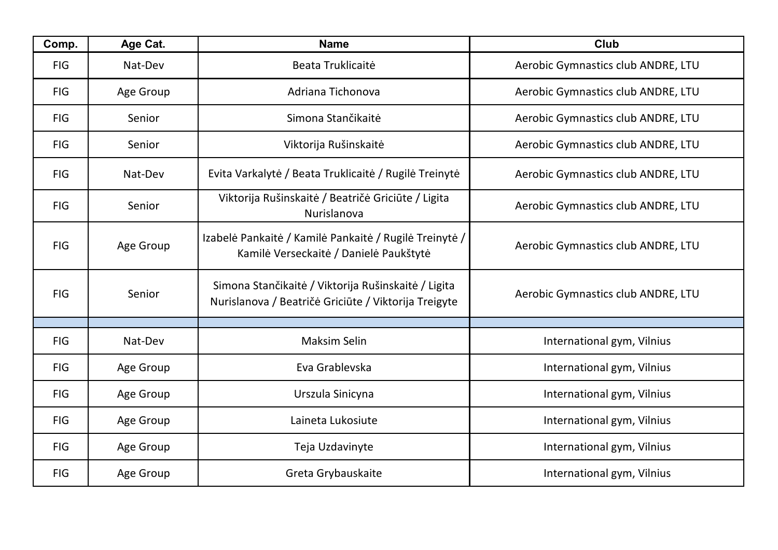| Comp.      | Age Cat.  | <b>Name</b>                                                                                                 | <b>Club</b>                        |
|------------|-----------|-------------------------------------------------------------------------------------------------------------|------------------------------------|
| <b>FIG</b> | Nat-Dev   | Beata Truklicaitė                                                                                           | Aerobic Gymnastics club ANDRE, LTU |
| <b>FIG</b> | Age Group | Adriana Tichonova                                                                                           | Aerobic Gymnastics club ANDRE, LTU |
| <b>FIG</b> | Senior    | Simona Stančikaitė                                                                                          | Aerobic Gymnastics club ANDRE, LTU |
| FIG        | Senior    | Viktorija Rušinskaitė                                                                                       | Aerobic Gymnastics club ANDRE, LTU |
| <b>FIG</b> | Nat-Dev   | Evita Varkalytė / Beata Truklicaitė / Rugilė Treinytė                                                       | Aerobic Gymnastics club ANDRE, LTU |
| <b>FIG</b> | Senior    | Viktorija Rušinskaitė / Beatričė Griciūte / Ligita<br>Nurislanova                                           | Aerobic Gymnastics club ANDRE, LTU |
| <b>FIG</b> | Age Group | Izabelė Pankaitė / Kamilė Pankaitė / Rugilė Treinytė /<br>Kamilė Verseckaitė / Danielė Paukštytė            | Aerobic Gymnastics club ANDRE, LTU |
| <b>FIG</b> | Senior    | Simona Stančikaitė / Viktorija Rušinskaitė / Ligita<br>Nurislanova / Beatričė Griciūte / Viktorija Treigyte | Aerobic Gymnastics club ANDRE, LTU |
|            |           |                                                                                                             |                                    |
| <b>FIG</b> | Nat-Dev   | <b>Maksim Selin</b>                                                                                         | International gym, Vilnius         |
| <b>FIG</b> | Age Group | Eva Grablevska                                                                                              | International gym, Vilnius         |
| <b>FIG</b> | Age Group | Urszula Sinicyna                                                                                            | International gym, Vilnius         |
| <b>FIG</b> | Age Group | Laineta Lukosiute                                                                                           | International gym, Vilnius         |
| <b>FIG</b> | Age Group | Teja Uzdavinyte                                                                                             | International gym, Vilnius         |
| <b>FIG</b> | Age Group | Greta Grybauskaite                                                                                          | International gym, Vilnius         |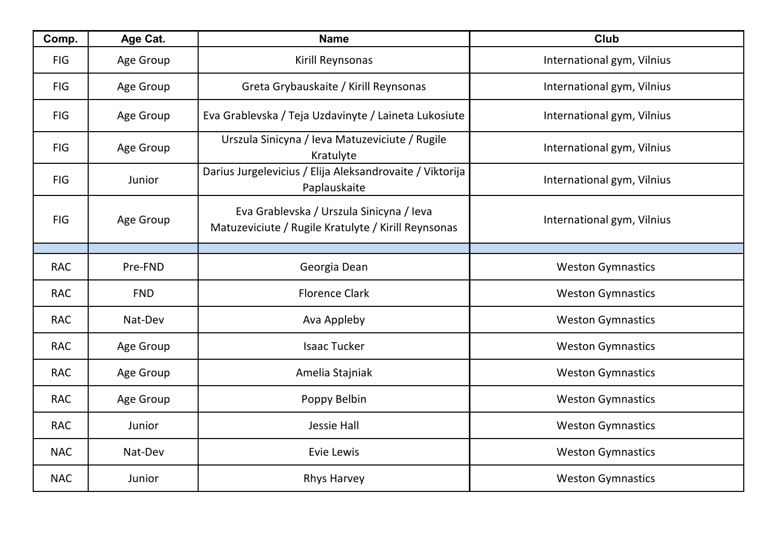| Comp.      | Age Cat.   | <b>Name</b>                                                                                     | <b>Club</b>                |
|------------|------------|-------------------------------------------------------------------------------------------------|----------------------------|
| FIG        | Age Group  | Kirill Reynsonas                                                                                | International gym, Vilnius |
| <b>FIG</b> | Age Group  | Greta Grybauskaite / Kirill Reynsonas                                                           | International gym, Vilnius |
| FIG        | Age Group  | Eva Grablevska / Teja Uzdavinyte / Laineta Lukosiute                                            | International gym, Vilnius |
| <b>FIG</b> | Age Group  | Urszula Sinicyna / Ieva Matuzeviciute / Rugile<br>Kratulyte                                     | International gym, Vilnius |
| <b>FIG</b> | Junior     | Darius Jurgelevicius / Elija Aleksandrovaite / Viktorija<br>Paplauskaite                        | International gym, Vilnius |
| <b>FIG</b> | Age Group  | Eva Grablevska / Urszula Sinicyna / Ieva<br>Matuzeviciute / Rugile Kratulyte / Kirill Reynsonas | International gym, Vilnius |
|            |            |                                                                                                 |                            |
| <b>RAC</b> | Pre-FND    | Georgia Dean                                                                                    | <b>Weston Gymnastics</b>   |
| <b>RAC</b> | <b>FND</b> | <b>Florence Clark</b>                                                                           | <b>Weston Gymnastics</b>   |
| <b>RAC</b> | Nat-Dev    | Ava Appleby                                                                                     | <b>Weston Gymnastics</b>   |
| <b>RAC</b> | Age Group  | <b>Isaac Tucker</b>                                                                             | <b>Weston Gymnastics</b>   |
| <b>RAC</b> | Age Group  | Amelia Stajniak                                                                                 | <b>Weston Gymnastics</b>   |
| <b>RAC</b> | Age Group  | Poppy Belbin                                                                                    | <b>Weston Gymnastics</b>   |
| <b>RAC</b> | Junior     | Jessie Hall                                                                                     | <b>Weston Gymnastics</b>   |
| <b>NAC</b> | Nat-Dev    | Evie Lewis                                                                                      | <b>Weston Gymnastics</b>   |
| <b>NAC</b> | Junior     | <b>Rhys Harvey</b>                                                                              | <b>Weston Gymnastics</b>   |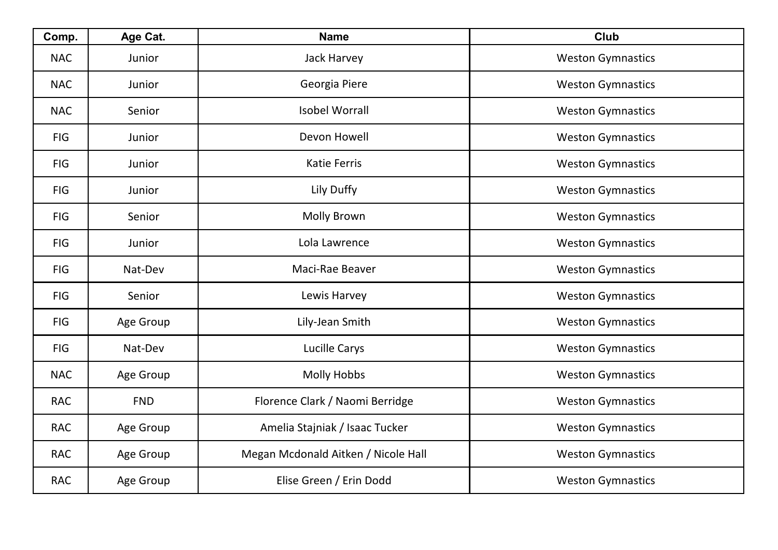| Comp.      | Age Cat.   | <b>Name</b>                         | <b>Club</b>              |
|------------|------------|-------------------------------------|--------------------------|
| <b>NAC</b> | Junior     | Jack Harvey                         | <b>Weston Gymnastics</b> |
| <b>NAC</b> | Junior     | Georgia Piere                       | <b>Weston Gymnastics</b> |
| <b>NAC</b> | Senior     | <b>Isobel Worrall</b>               | <b>Weston Gymnastics</b> |
| <b>FIG</b> | Junior     | Devon Howell                        | <b>Weston Gymnastics</b> |
| <b>FIG</b> | Junior     | <b>Katie Ferris</b>                 | <b>Weston Gymnastics</b> |
| <b>FIG</b> | Junior     | Lily Duffy                          | <b>Weston Gymnastics</b> |
| <b>FIG</b> | Senior     | <b>Molly Brown</b>                  | <b>Weston Gymnastics</b> |
| <b>FIG</b> | Junior     | Lola Lawrence                       | <b>Weston Gymnastics</b> |
| <b>FIG</b> | Nat-Dev    | Maci-Rae Beaver                     | <b>Weston Gymnastics</b> |
| <b>FIG</b> | Senior     | Lewis Harvey                        | <b>Weston Gymnastics</b> |
| <b>FIG</b> | Age Group  | Lily-Jean Smith                     | <b>Weston Gymnastics</b> |
| <b>FIG</b> | Nat-Dev    | Lucille Carys                       | <b>Weston Gymnastics</b> |
| <b>NAC</b> | Age Group  | <b>Molly Hobbs</b>                  | <b>Weston Gymnastics</b> |
| <b>RAC</b> | <b>FND</b> | Florence Clark / Naomi Berridge     | <b>Weston Gymnastics</b> |
| <b>RAC</b> | Age Group  | Amelia Stajniak / Isaac Tucker      | <b>Weston Gymnastics</b> |
| <b>RAC</b> | Age Group  | Megan Mcdonald Aitken / Nicole Hall | <b>Weston Gymnastics</b> |
| <b>RAC</b> | Age Group  | Elise Green / Erin Dodd             | <b>Weston Gymnastics</b> |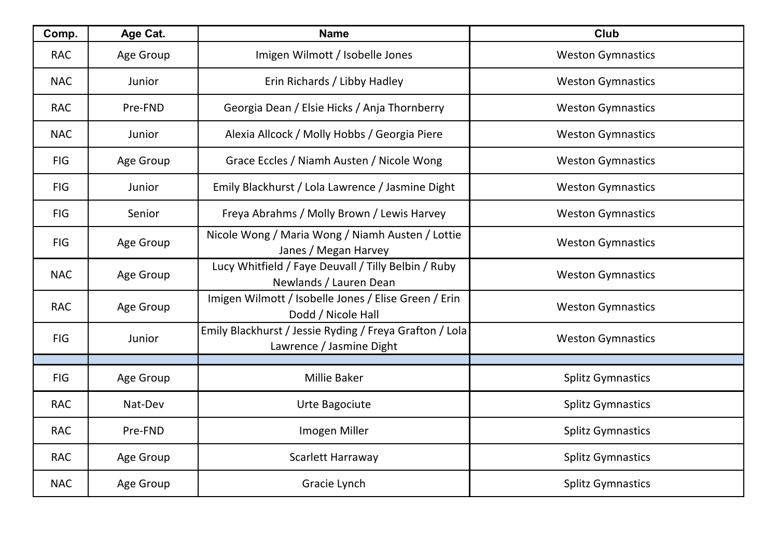| Comp.      | Age Cat.  | <b>Name</b>                                                                         | <b>Club</b>              |
|------------|-----------|-------------------------------------------------------------------------------------|--------------------------|
| <b>RAC</b> | Age Group | Imigen Wilmott / Isobelle Jones                                                     | <b>Weston Gymnastics</b> |
| <b>NAC</b> | Junior    | Erin Richards / Libby Hadley                                                        | <b>Weston Gymnastics</b> |
| <b>RAC</b> | Pre-FND   | Georgia Dean / Elsie Hicks / Anja Thornberry                                        | <b>Weston Gymnastics</b> |
| <b>NAC</b> | Junior    | Alexia Allcock / Molly Hobbs / Georgia Piere                                        | <b>Weston Gymnastics</b> |
| <b>FIG</b> | Age Group | Grace Eccles / Niamh Austen / Nicole Wong                                           | <b>Weston Gymnastics</b> |
| <b>FIG</b> | Junior    | Emily Blackhurst / Lola Lawrence / Jasmine Dight                                    | <b>Weston Gymnastics</b> |
| FIG        | Senior    | Freya Abrahms / Molly Brown / Lewis Harvey                                          | <b>Weston Gymnastics</b> |
| <b>FIG</b> | Age Group | Nicole Wong / Maria Wong / Niamh Austen / Lottie<br>Janes / Megan Harvey            | <b>Weston Gymnastics</b> |
| <b>NAC</b> | Age Group | Lucy Whitfield / Faye Deuvall / Tilly Belbin / Ruby<br>Newlands / Lauren Dean       | <b>Weston Gymnastics</b> |
| <b>RAC</b> | Age Group | Imigen Wilmott / Isobelle Jones / Elise Green / Erin<br>Dodd / Nicole Hall          | <b>Weston Gymnastics</b> |
| <b>FIG</b> | Junior    | Emily Blackhurst / Jessie Ryding / Freya Grafton / Lola<br>Lawrence / Jasmine Dight | <b>Weston Gymnastics</b> |
|            |           |                                                                                     |                          |
| <b>FIG</b> | Age Group | <b>Millie Baker</b>                                                                 | <b>Splitz Gymnastics</b> |
| <b>RAC</b> | Nat-Dev   | Urte Bagociute                                                                      | <b>Splitz Gymnastics</b> |
| <b>RAC</b> | Pre-FND   | Imogen Miller                                                                       | <b>Splitz Gymnastics</b> |
| <b>RAC</b> | Age Group | Scarlett Harraway                                                                   | <b>Splitz Gymnastics</b> |
| <b>NAC</b> | Age Group | Gracie Lynch                                                                        | <b>Splitz Gymnastics</b> |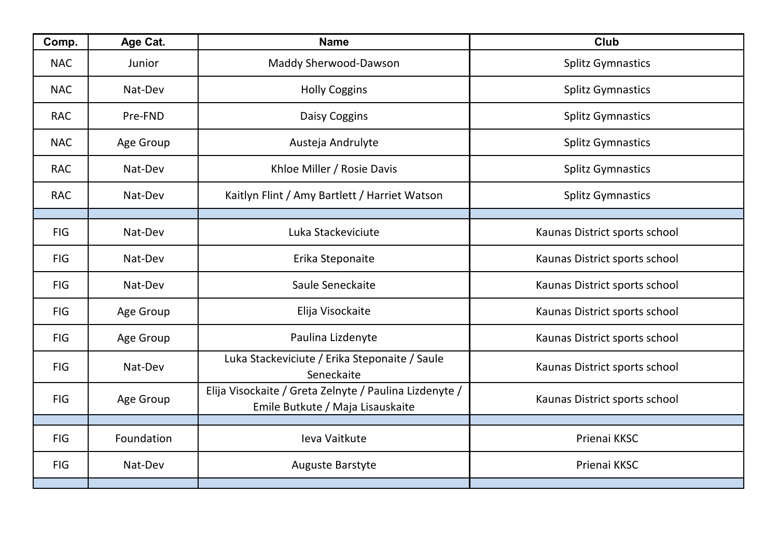| Comp.      | Age Cat.   | <b>Name</b>                                                                                | Club                          |
|------------|------------|--------------------------------------------------------------------------------------------|-------------------------------|
| <b>NAC</b> | Junior     | Maddy Sherwood-Dawson                                                                      | <b>Splitz Gymnastics</b>      |
| <b>NAC</b> | Nat-Dev    | <b>Holly Coggins</b>                                                                       | <b>Splitz Gymnastics</b>      |
| <b>RAC</b> | Pre-FND    | <b>Daisy Coggins</b>                                                                       | <b>Splitz Gymnastics</b>      |
| <b>NAC</b> | Age Group  | Austeja Andrulyte                                                                          | <b>Splitz Gymnastics</b>      |
| <b>RAC</b> | Nat-Dev    | Khloe Miller / Rosie Davis                                                                 | <b>Splitz Gymnastics</b>      |
| <b>RAC</b> | Nat-Dev    | Kaitlyn Flint / Amy Bartlett / Harriet Watson                                              | <b>Splitz Gymnastics</b>      |
|            |            |                                                                                            |                               |
| FIG        | Nat-Dev    | Luka Stackeviciute                                                                         | Kaunas District sports school |
| <b>FIG</b> | Nat-Dev    | Erika Steponaite                                                                           | Kaunas District sports school |
| <b>FIG</b> | Nat-Dev    | Saule Seneckaite                                                                           | Kaunas District sports school |
| <b>FIG</b> | Age Group  | Elija Visockaite                                                                           | Kaunas District sports school |
| <b>FIG</b> | Age Group  | Paulina Lizdenyte                                                                          | Kaunas District sports school |
| <b>FIG</b> | Nat-Dev    | Luka Stackeviciute / Erika Steponaite / Saule<br>Seneckaite                                | Kaunas District sports school |
| <b>FIG</b> | Age Group  | Elija Visockaite / Greta Zelnyte / Paulina Lizdenyte /<br>Emile Butkute / Maja Lisauskaite | Kaunas District sports school |
|            |            |                                                                                            |                               |
| <b>FIG</b> | Foundation | Ieva Vaitkute                                                                              | Prienai KKSC                  |
| <b>FIG</b> | Nat-Dev    | <b>Auguste Barstyte</b>                                                                    | Prienai KKSC                  |
|            |            |                                                                                            |                               |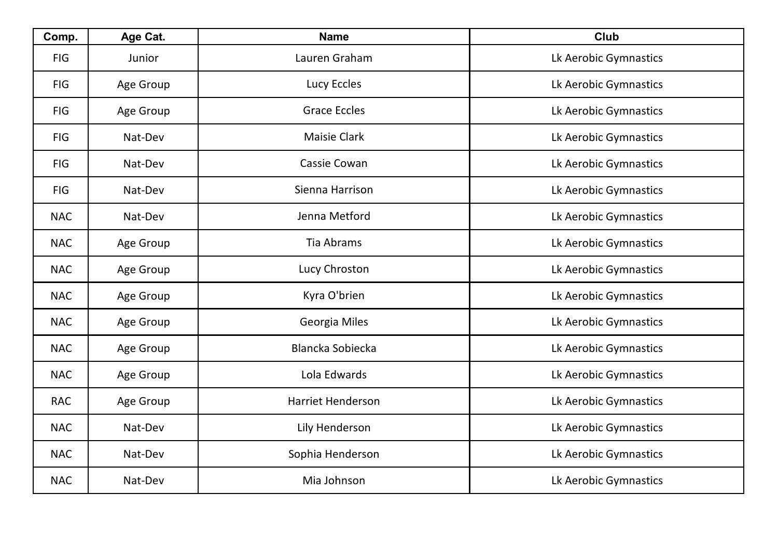| Comp.      | Age Cat.  | <b>Name</b>              | <b>Club</b>           |
|------------|-----------|--------------------------|-----------------------|
| <b>FIG</b> | Junior    | Lauren Graham            | Lk Aerobic Gymnastics |
| <b>FIG</b> | Age Group | Lucy Eccles              | Lk Aerobic Gymnastics |
| <b>FIG</b> | Age Group | <b>Grace Eccles</b>      | Lk Aerobic Gymnastics |
| <b>FIG</b> | Nat-Dev   | <b>Maisie Clark</b>      | Lk Aerobic Gymnastics |
| <b>FIG</b> | Nat-Dev   | Cassie Cowan             | Lk Aerobic Gymnastics |
| <b>FIG</b> | Nat-Dev   | Sienna Harrison          | Lk Aerobic Gymnastics |
| <b>NAC</b> | Nat-Dev   | Jenna Metford            | Lk Aerobic Gymnastics |
| <b>NAC</b> | Age Group | <b>Tia Abrams</b>        | Lk Aerobic Gymnastics |
| <b>NAC</b> | Age Group | Lucy Chroston            | Lk Aerobic Gymnastics |
| <b>NAC</b> | Age Group | Kyra O'brien             | Lk Aerobic Gymnastics |
| <b>NAC</b> | Age Group | Georgia Miles            | Lk Aerobic Gymnastics |
| <b>NAC</b> | Age Group | Blancka Sobiecka         | Lk Aerobic Gymnastics |
| <b>NAC</b> | Age Group | Lola Edwards             | Lk Aerobic Gymnastics |
| <b>RAC</b> | Age Group | <b>Harriet Henderson</b> | Lk Aerobic Gymnastics |
| <b>NAC</b> | Nat-Dev   | Lily Henderson           | Lk Aerobic Gymnastics |
| <b>NAC</b> | Nat-Dev   | Sophia Henderson         | Lk Aerobic Gymnastics |
| <b>NAC</b> | Nat-Dev   | Mia Johnson              | Lk Aerobic Gymnastics |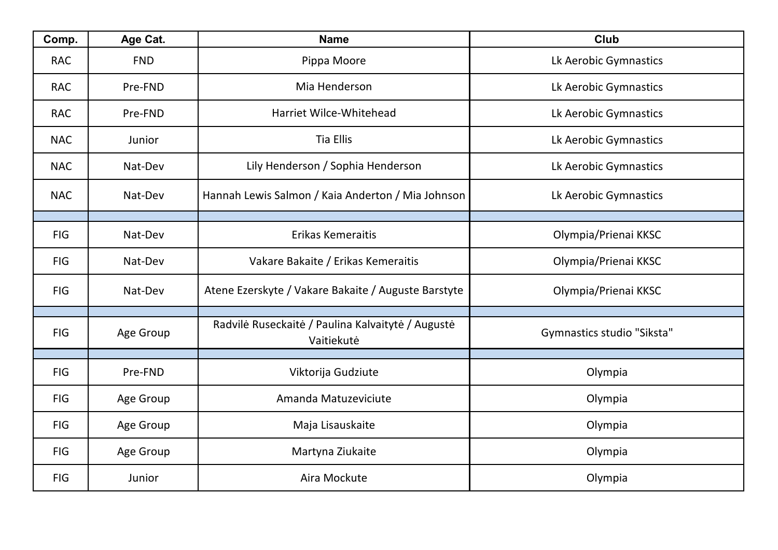| Comp.      | Age Cat.   | <b>Name</b>                                                     | Club                       |
|------------|------------|-----------------------------------------------------------------|----------------------------|
| <b>RAC</b> | <b>FND</b> | Pippa Moore                                                     | Lk Aerobic Gymnastics      |
| <b>RAC</b> | Pre-FND    | Mia Henderson                                                   | Lk Aerobic Gymnastics      |
| <b>RAC</b> | Pre-FND    | Harriet Wilce-Whitehead                                         | Lk Aerobic Gymnastics      |
| <b>NAC</b> | Junior     | <b>Tia Ellis</b>                                                | Lk Aerobic Gymnastics      |
| <b>NAC</b> | Nat-Dev    | Lily Henderson / Sophia Henderson                               | Lk Aerobic Gymnastics      |
| <b>NAC</b> | Nat-Dev    | Hannah Lewis Salmon / Kaia Anderton / Mia Johnson               | Lk Aerobic Gymnastics      |
|            |            |                                                                 |                            |
| <b>FIG</b> | Nat-Dev    | <b>Erikas Kemeraitis</b>                                        | Olympia/Prienai KKSC       |
| <b>FIG</b> | Nat-Dev    | Vakare Bakaite / Erikas Kemeraitis                              | Olympia/Prienai KKSC       |
| <b>FIG</b> | Nat-Dev    | Atene Ezerskyte / Vakare Bakaite / Auguste Barstyte             | Olympia/Prienai KKSC       |
|            |            |                                                                 |                            |
| FIG        | Age Group  | Radvilė Ruseckaitė / Paulina Kalvaitytė / Augustė<br>Vaitiekutė | Gymnastics studio "Siksta" |
|            |            |                                                                 |                            |
| <b>FIG</b> | Pre-FND    | Viktorija Gudziute                                              | Olympia                    |
| FIG        | Age Group  | Amanda Matuzeviciute                                            | Olympia                    |
| FIG        | Age Group  | Maja Lisauskaite                                                | Olympia                    |
| <b>FIG</b> | Age Group  | Martyna Ziukaite                                                | Olympia                    |
| <b>FIG</b> | Junior     | Aira Mockute                                                    | Olympia                    |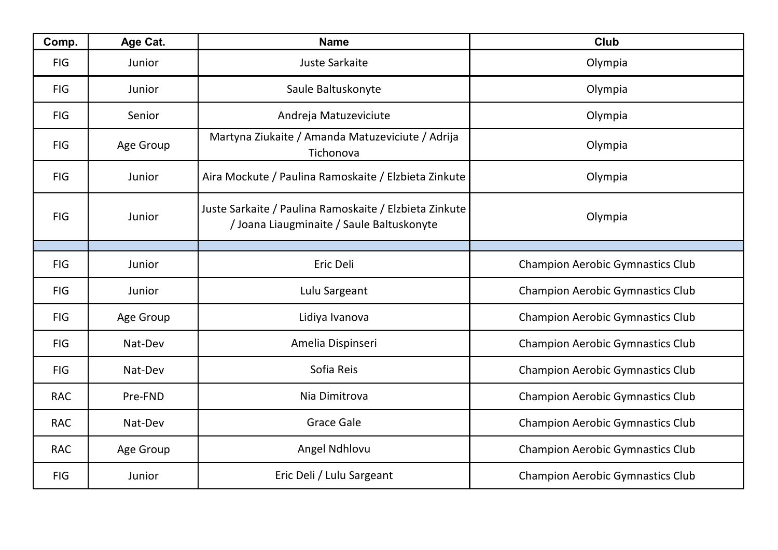| Comp.      | Age Cat.  | <b>Name</b>                                                                                         | Club                                    |
|------------|-----------|-----------------------------------------------------------------------------------------------------|-----------------------------------------|
| <b>FIG</b> | Junior    | <b>Juste Sarkaite</b>                                                                               | Olympia                                 |
| FIG        | Junior    | Saule Baltuskonyte                                                                                  | Olympia                                 |
| <b>FIG</b> | Senior    | Andreja Matuzeviciute                                                                               | Olympia                                 |
| <b>FIG</b> | Age Group | Martyna Ziukaite / Amanda Matuzeviciute / Adrija<br>Tichonova                                       | Olympia                                 |
| FIG        | Junior    | Aira Mockute / Paulina Ramoskaite / Elzbieta Zinkute                                                | Olympia                                 |
| FIG        | Junior    | Juste Sarkaite / Paulina Ramoskaite / Elzbieta Zinkute<br>/ Joana Liaugminaite / Saule Baltuskonyte | Olympia                                 |
|            |           |                                                                                                     |                                         |
| FIG        | Junior    | Eric Deli                                                                                           | <b>Champion Aerobic Gymnastics Club</b> |
| <b>FIG</b> | Junior    | Lulu Sargeant                                                                                       | <b>Champion Aerobic Gymnastics Club</b> |
| <b>FIG</b> | Age Group | Lidiya Ivanova                                                                                      | <b>Champion Aerobic Gymnastics Club</b> |
| FIG        | Nat-Dev   | Amelia Dispinseri                                                                                   | <b>Champion Aerobic Gymnastics Club</b> |
| <b>FIG</b> | Nat-Dev   | Sofia Reis                                                                                          | <b>Champion Aerobic Gymnastics Club</b> |
| <b>RAC</b> | Pre-FND   | Nia Dimitrova                                                                                       | <b>Champion Aerobic Gymnastics Club</b> |
| <b>RAC</b> | Nat-Dev   | <b>Grace Gale</b>                                                                                   | <b>Champion Aerobic Gymnastics Club</b> |
| <b>RAC</b> | Age Group | Angel Ndhlovu                                                                                       | <b>Champion Aerobic Gymnastics Club</b> |
| <b>FIG</b> | Junior    | Eric Deli / Lulu Sargeant                                                                           | <b>Champion Aerobic Gymnastics Club</b> |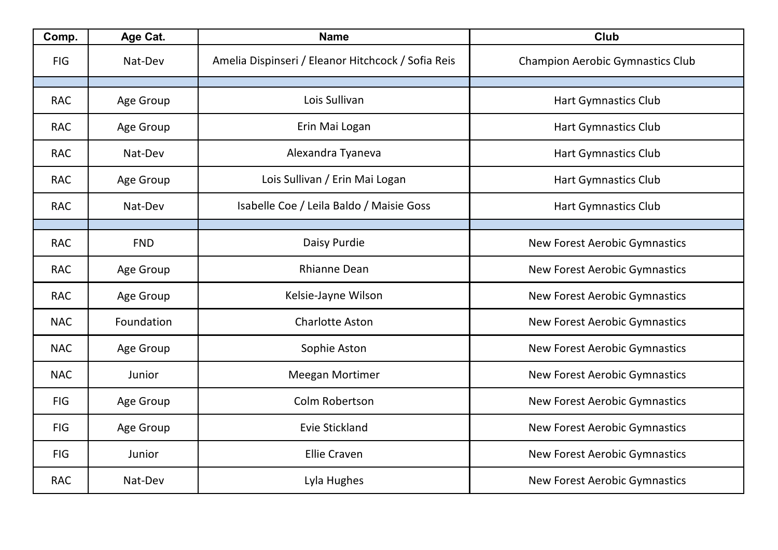| Comp.      | Age Cat.   | <b>Name</b>                                        | <b>Club</b>                             |
|------------|------------|----------------------------------------------------|-----------------------------------------|
| FIG        | Nat-Dev    | Amelia Dispinseri / Eleanor Hitchcock / Sofia Reis | <b>Champion Aerobic Gymnastics Club</b> |
|            |            |                                                    |                                         |
| <b>RAC</b> | Age Group  | Lois Sullivan                                      | <b>Hart Gymnastics Club</b>             |
| <b>RAC</b> | Age Group  | Erin Mai Logan                                     | <b>Hart Gymnastics Club</b>             |
| <b>RAC</b> | Nat-Dev    | Alexandra Tyaneva                                  | <b>Hart Gymnastics Club</b>             |
| <b>RAC</b> | Age Group  | Lois Sullivan / Erin Mai Logan                     | <b>Hart Gymnastics Club</b>             |
| <b>RAC</b> | Nat-Dev    | Isabelle Coe / Leila Baldo / Maisie Goss           | <b>Hart Gymnastics Club</b>             |
|            |            |                                                    |                                         |
| <b>RAC</b> | <b>FND</b> | Daisy Purdie                                       | <b>New Forest Aerobic Gymnastics</b>    |
| <b>RAC</b> | Age Group  | <b>Rhianne Dean</b>                                | <b>New Forest Aerobic Gymnastics</b>    |
| <b>RAC</b> | Age Group  | Kelsie-Jayne Wilson                                | <b>New Forest Aerobic Gymnastics</b>    |
| <b>NAC</b> | Foundation | <b>Charlotte Aston</b>                             | <b>New Forest Aerobic Gymnastics</b>    |
| <b>NAC</b> | Age Group  | Sophie Aston                                       | <b>New Forest Aerobic Gymnastics</b>    |
| <b>NAC</b> | Junior     | Meegan Mortimer                                    | <b>New Forest Aerobic Gymnastics</b>    |
| <b>FIG</b> | Age Group  | Colm Robertson                                     | <b>New Forest Aerobic Gymnastics</b>    |
| <b>FIG</b> | Age Group  | <b>Evie Stickland</b>                              | <b>New Forest Aerobic Gymnastics</b>    |
| <b>FIG</b> | Junior     | <b>Ellie Craven</b>                                | <b>New Forest Aerobic Gymnastics</b>    |
| <b>RAC</b> | Nat-Dev    | Lyla Hughes                                        | <b>New Forest Aerobic Gymnastics</b>    |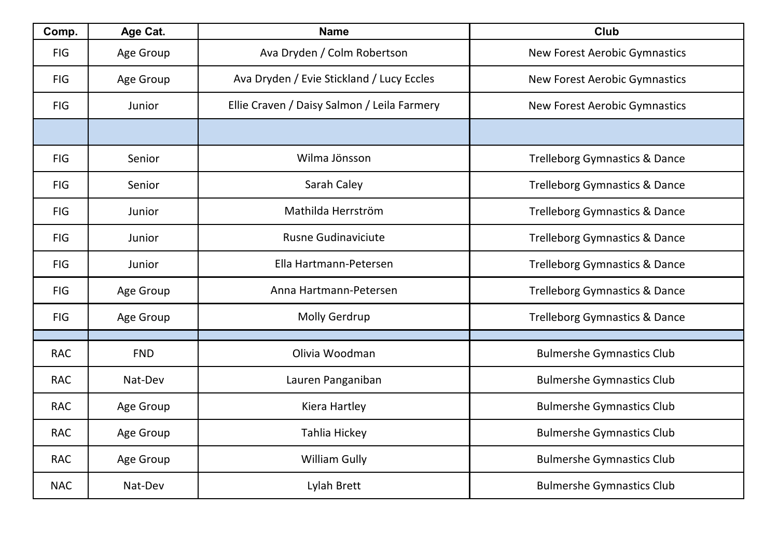| Comp.      | Age Cat.   | <b>Name</b>                                 | <b>Club</b>                              |
|------------|------------|---------------------------------------------|------------------------------------------|
| FIG        | Age Group  | Ava Dryden / Colm Robertson                 | New Forest Aerobic Gymnastics            |
| <b>FIG</b> | Age Group  | Ava Dryden / Evie Stickland / Lucy Eccles   | <b>New Forest Aerobic Gymnastics</b>     |
| FIG        | Junior     | Ellie Craven / Daisy Salmon / Leila Farmery | <b>New Forest Aerobic Gymnastics</b>     |
|            |            |                                             |                                          |
| FIG        | Senior     | Wilma Jönsson                               | <b>Trelleborg Gymnastics &amp; Dance</b> |
| <b>FIG</b> | Senior     | Sarah Caley                                 | <b>Trelleborg Gymnastics &amp; Dance</b> |
| FIG        | Junior     | Mathilda Herrström                          | <b>Trelleborg Gymnastics &amp; Dance</b> |
| <b>FIG</b> | Junior     | <b>Rusne Gudinaviciute</b>                  | <b>Trelleborg Gymnastics &amp; Dance</b> |
| <b>FIG</b> | Junior     | Ella Hartmann-Petersen                      | <b>Trelleborg Gymnastics &amp; Dance</b> |
| <b>FIG</b> | Age Group  | Anna Hartmann-Petersen                      | <b>Trelleborg Gymnastics &amp; Dance</b> |
| <b>FIG</b> | Age Group  | <b>Molly Gerdrup</b>                        | <b>Trelleborg Gymnastics &amp; Dance</b> |
|            |            |                                             |                                          |
| <b>RAC</b> | <b>FND</b> | Olivia Woodman                              | <b>Bulmershe Gymnastics Club</b>         |
| <b>RAC</b> | Nat-Dev    | Lauren Panganiban                           | <b>Bulmershe Gymnastics Club</b>         |
| <b>RAC</b> | Age Group  | Kiera Hartley                               | <b>Bulmershe Gymnastics Club</b>         |
| <b>RAC</b> | Age Group  | Tahlia Hickey                               | <b>Bulmershe Gymnastics Club</b>         |
| <b>RAC</b> | Age Group  | William Gully                               | <b>Bulmershe Gymnastics Club</b>         |
| <b>NAC</b> | Nat-Dev    | Lylah Brett                                 | <b>Bulmershe Gymnastics Club</b>         |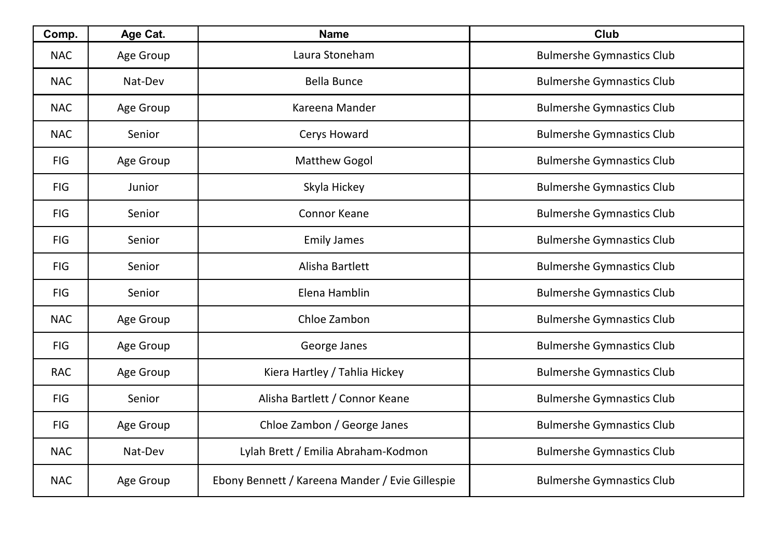| Comp.      | Age Cat.  | <b>Name</b>                                     | <b>Club</b>                      |
|------------|-----------|-------------------------------------------------|----------------------------------|
| <b>NAC</b> | Age Group | Laura Stoneham                                  | <b>Bulmershe Gymnastics Club</b> |
| <b>NAC</b> | Nat-Dev   | <b>Bella Bunce</b>                              | <b>Bulmershe Gymnastics Club</b> |
| <b>NAC</b> | Age Group | Kareena Mander                                  | <b>Bulmershe Gymnastics Club</b> |
| <b>NAC</b> | Senior    | Cerys Howard                                    | <b>Bulmershe Gymnastics Club</b> |
| <b>FIG</b> | Age Group | <b>Matthew Gogol</b>                            | <b>Bulmershe Gymnastics Club</b> |
| <b>FIG</b> | Junior    | Skyla Hickey                                    | <b>Bulmershe Gymnastics Club</b> |
| FIG        | Senior    | <b>Connor Keane</b>                             | <b>Bulmershe Gymnastics Club</b> |
| <b>FIG</b> | Senior    | <b>Emily James</b>                              | <b>Bulmershe Gymnastics Club</b> |
| <b>FIG</b> | Senior    | Alisha Bartlett                                 | <b>Bulmershe Gymnastics Club</b> |
| <b>FIG</b> | Senior    | Elena Hamblin                                   | <b>Bulmershe Gymnastics Club</b> |
| <b>NAC</b> | Age Group | Chloe Zambon                                    | <b>Bulmershe Gymnastics Club</b> |
| <b>FIG</b> | Age Group | George Janes                                    | <b>Bulmershe Gymnastics Club</b> |
| <b>RAC</b> | Age Group | Kiera Hartley / Tahlia Hickey                   | <b>Bulmershe Gymnastics Club</b> |
| <b>FIG</b> | Senior    | Alisha Bartlett / Connor Keane                  | <b>Bulmershe Gymnastics Club</b> |
| <b>FIG</b> | Age Group | Chloe Zambon / George Janes                     | <b>Bulmershe Gymnastics Club</b> |
| <b>NAC</b> | Nat-Dev   | Lylah Brett / Emilia Abraham-Kodmon             | <b>Bulmershe Gymnastics Club</b> |
| <b>NAC</b> | Age Group | Ebony Bennett / Kareena Mander / Evie Gillespie | <b>Bulmershe Gymnastics Club</b> |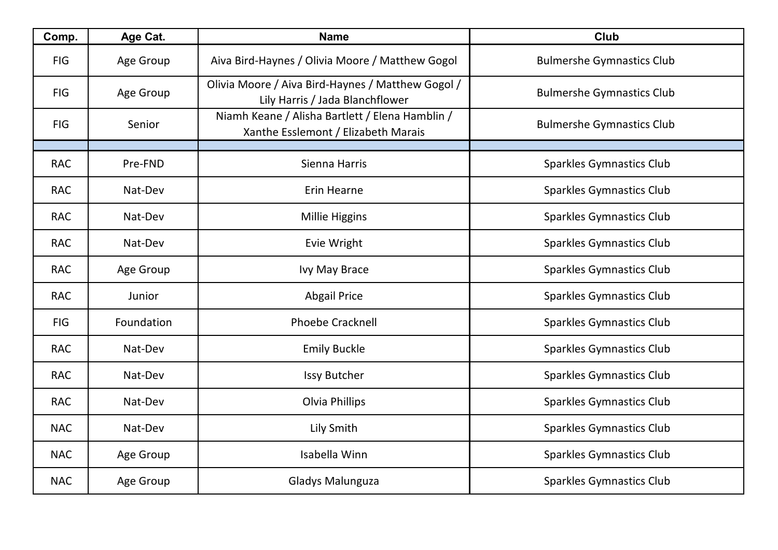| Comp.      | Age Cat.   | <b>Name</b>                                                                            | <b>Club</b>                      |
|------------|------------|----------------------------------------------------------------------------------------|----------------------------------|
| <b>FIG</b> | Age Group  | Aiva Bird-Haynes / Olivia Moore / Matthew Gogol                                        | <b>Bulmershe Gymnastics Club</b> |
| FIG        | Age Group  | Olivia Moore / Aiva Bird-Haynes / Matthew Gogol /<br>Lily Harris / Jada Blanchflower   | <b>Bulmershe Gymnastics Club</b> |
| <b>FIG</b> | Senior     | Niamh Keane / Alisha Bartlett / Elena Hamblin /<br>Xanthe Esslemont / Elizabeth Marais | <b>Bulmershe Gymnastics Club</b> |
| <b>RAC</b> | Pre-FND    | Sienna Harris                                                                          | <b>Sparkles Gymnastics Club</b>  |
| <b>RAC</b> | Nat-Dev    | Erin Hearne                                                                            | <b>Sparkles Gymnastics Club</b>  |
| <b>RAC</b> | Nat-Dev    | Millie Higgins                                                                         | <b>Sparkles Gymnastics Club</b>  |
| <b>RAC</b> | Nat-Dev    | Evie Wright                                                                            | <b>Sparkles Gymnastics Club</b>  |
| <b>RAC</b> | Age Group  | Ivy May Brace                                                                          | <b>Sparkles Gymnastics Club</b>  |
| <b>RAC</b> | Junior     | <b>Abgail Price</b>                                                                    | <b>Sparkles Gymnastics Club</b>  |
| FIG        | Foundation | <b>Phoebe Cracknell</b>                                                                | <b>Sparkles Gymnastics Club</b>  |
| <b>RAC</b> | Nat-Dev    | <b>Emily Buckle</b>                                                                    | <b>Sparkles Gymnastics Club</b>  |
| <b>RAC</b> | Nat-Dev    | <b>Issy Butcher</b>                                                                    | <b>Sparkles Gymnastics Club</b>  |
| <b>RAC</b> | Nat-Dev    | Olvia Phillips                                                                         | <b>Sparkles Gymnastics Club</b>  |
| <b>NAC</b> | Nat-Dev    | Lily Smith                                                                             | <b>Sparkles Gymnastics Club</b>  |
| <b>NAC</b> | Age Group  | Isabella Winn                                                                          | <b>Sparkles Gymnastics Club</b>  |
| <b>NAC</b> | Age Group  | <b>Gladys Malunguza</b>                                                                | <b>Sparkles Gymnastics Club</b>  |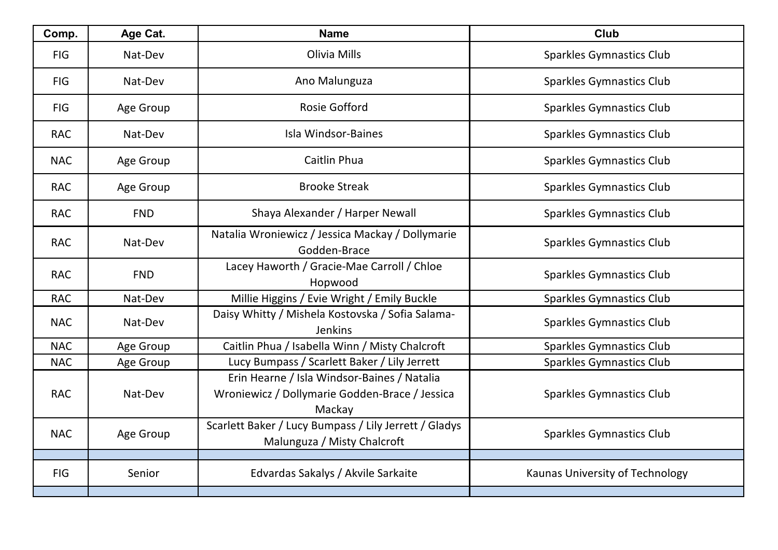| Comp.      | Age Cat.   | <b>Name</b>                                                                                             | <b>Club</b>                     |
|------------|------------|---------------------------------------------------------------------------------------------------------|---------------------------------|
| <b>FIG</b> | Nat-Dev    | Olivia Mills                                                                                            | <b>Sparkles Gymnastics Club</b> |
| <b>FIG</b> | Nat-Dev    | Ano Malunguza                                                                                           | <b>Sparkles Gymnastics Club</b> |
| <b>FIG</b> | Age Group  | <b>Rosie Gofford</b>                                                                                    | <b>Sparkles Gymnastics Club</b> |
| <b>RAC</b> | Nat-Dev    | Isla Windsor-Baines                                                                                     | <b>Sparkles Gymnastics Club</b> |
| <b>NAC</b> | Age Group  | Caitlin Phua                                                                                            | <b>Sparkles Gymnastics Club</b> |
| <b>RAC</b> | Age Group  | <b>Brooke Streak</b>                                                                                    | <b>Sparkles Gymnastics Club</b> |
| <b>RAC</b> | <b>FND</b> | Shaya Alexander / Harper Newall                                                                         | <b>Sparkles Gymnastics Club</b> |
| <b>RAC</b> | Nat-Dev    | Natalia Wroniewicz / Jessica Mackay / Dollymarie<br>Godden-Brace                                        | <b>Sparkles Gymnastics Club</b> |
| <b>RAC</b> | <b>FND</b> | Lacey Haworth / Gracie-Mae Carroll / Chloe<br>Hopwood                                                   | <b>Sparkles Gymnastics Club</b> |
| <b>RAC</b> | Nat-Dev    | Millie Higgins / Evie Wright / Emily Buckle                                                             | <b>Sparkles Gymnastics Club</b> |
| <b>NAC</b> | Nat-Dev    | Daisy Whitty / Mishela Kostovska / Sofia Salama-<br><b>Jenkins</b>                                      | <b>Sparkles Gymnastics Club</b> |
| <b>NAC</b> | Age Group  | Caitlin Phua / Isabella Winn / Misty Chalcroft                                                          | <b>Sparkles Gymnastics Club</b> |
| <b>NAC</b> | Age Group  | Lucy Bumpass / Scarlett Baker / Lily Jerrett                                                            | <b>Sparkles Gymnastics Club</b> |
| <b>RAC</b> | Nat-Dev    | Erin Hearne / Isla Windsor-Baines / Natalia<br>Wroniewicz / Dollymarie Godden-Brace / Jessica<br>Mackay | <b>Sparkles Gymnastics Club</b> |
| <b>NAC</b> | Age Group  | Scarlett Baker / Lucy Bumpass / Lily Jerrett / Gladys<br>Malunguza / Misty Chalcroft                    | <b>Sparkles Gymnastics Club</b> |
| <b>FIG</b> | Senior     | Edvardas Sakalys / Akvile Sarkaite                                                                      | Kaunas University of Technology |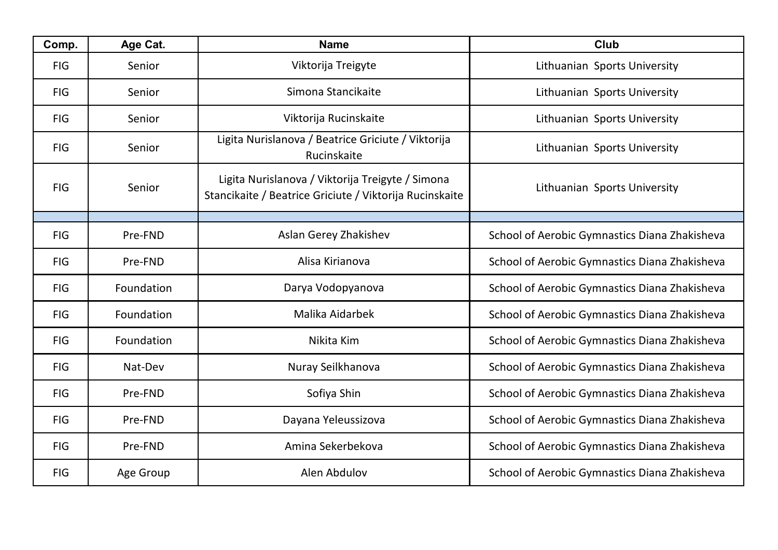| Comp.      | Age Cat.   | <b>Name</b>                                                                                                 | <b>Club</b>                                   |
|------------|------------|-------------------------------------------------------------------------------------------------------------|-----------------------------------------------|
| <b>FIG</b> | Senior     | Viktorija Treigyte                                                                                          | Lithuanian Sports University                  |
| <b>FIG</b> | Senior     | Simona Stancikaite                                                                                          | Lithuanian Sports University                  |
| <b>FIG</b> | Senior     | Viktorija Rucinskaite                                                                                       | Lithuanian Sports University                  |
| <b>FIG</b> | Senior     | Ligita Nurislanova / Beatrice Griciute / Viktorija<br>Rucinskaite                                           | Lithuanian Sports University                  |
| <b>FIG</b> | Senior     | Ligita Nurislanova / Viktorija Treigyte / Simona<br>Stancikaite / Beatrice Griciute / Viktorija Rucinskaite | Lithuanian Sports University                  |
|            |            |                                                                                                             |                                               |
| <b>FIG</b> | Pre-FND    | Aslan Gerey Zhakishev                                                                                       | School of Aerobic Gymnastics Diana Zhakisheva |
| <b>FIG</b> | Pre-FND    | Alisa Kirianova                                                                                             | School of Aerobic Gymnastics Diana Zhakisheva |
| <b>FIG</b> | Foundation | Darya Vodopyanova                                                                                           | School of Aerobic Gymnastics Diana Zhakisheva |
| <b>FIG</b> | Foundation | Malika Aidarbek                                                                                             | School of Aerobic Gymnastics Diana Zhakisheva |
| <b>FIG</b> | Foundation | Nikita Kim                                                                                                  | School of Aerobic Gymnastics Diana Zhakisheva |
| FIG        | Nat-Dev    | Nuray Seilkhanova                                                                                           | School of Aerobic Gymnastics Diana Zhakisheva |
| <b>FIG</b> | Pre-FND    | Sofiya Shin                                                                                                 | School of Aerobic Gymnastics Diana Zhakisheva |
| <b>FIG</b> | Pre-FND    | Dayana Yeleussizova                                                                                         | School of Aerobic Gymnastics Diana Zhakisheva |
| <b>FIG</b> | Pre-FND    | Amina Sekerbekova                                                                                           | School of Aerobic Gymnastics Diana Zhakisheva |
| <b>FIG</b> | Age Group  | Alen Abdulov                                                                                                | School of Aerobic Gymnastics Diana Zhakisheva |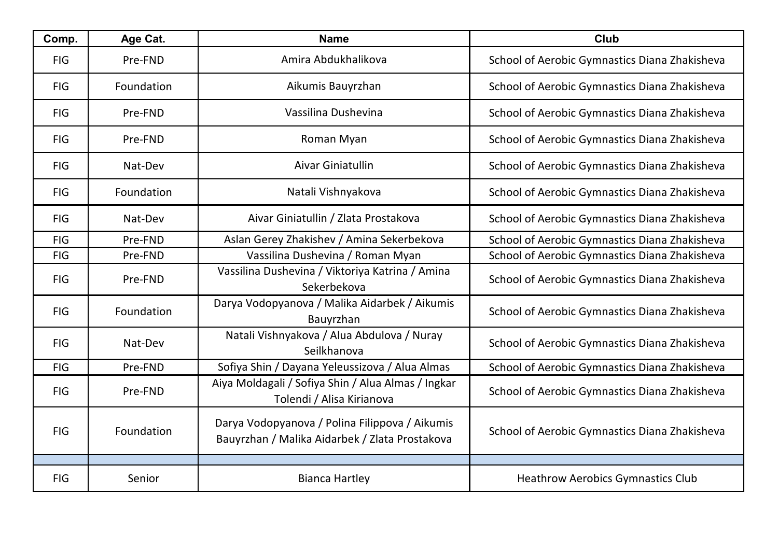| Comp.      | Age Cat.   | <b>Name</b>                                                                                      | <b>Club</b>                                   |
|------------|------------|--------------------------------------------------------------------------------------------------|-----------------------------------------------|
| <b>FIG</b> | Pre-FND    | Amira Abdukhalikova                                                                              | School of Aerobic Gymnastics Diana Zhakisheva |
| <b>FIG</b> | Foundation | Aikumis Bauyrzhan                                                                                | School of Aerobic Gymnastics Diana Zhakisheva |
| <b>FIG</b> | Pre-FND    | Vassilina Dushevina                                                                              | School of Aerobic Gymnastics Diana Zhakisheva |
| <b>FIG</b> | Pre-FND    | Roman Myan                                                                                       | School of Aerobic Gymnastics Diana Zhakisheva |
| <b>FIG</b> | Nat-Dev    | Aivar Giniatullin                                                                                | School of Aerobic Gymnastics Diana Zhakisheva |
| <b>FIG</b> | Foundation | Natali Vishnyakova                                                                               | School of Aerobic Gymnastics Diana Zhakisheva |
| <b>FIG</b> | Nat-Dev    | Aivar Giniatullin / Zlata Prostakova                                                             | School of Aerobic Gymnastics Diana Zhakisheva |
| <b>FIG</b> | Pre-FND    | Aslan Gerey Zhakishev / Amina Sekerbekova                                                        | School of Aerobic Gymnastics Diana Zhakisheva |
| <b>FIG</b> | Pre-FND    | Vassilina Dushevina / Roman Myan                                                                 | School of Aerobic Gymnastics Diana Zhakisheva |
| <b>FIG</b> | Pre-FND    | Vassilina Dushevina / Viktoriya Katrina / Amina<br>Sekerbekova                                   | School of Aerobic Gymnastics Diana Zhakisheva |
| <b>FIG</b> | Foundation | Darya Vodopyanova / Malika Aidarbek / Aikumis<br>Bauyrzhan                                       | School of Aerobic Gymnastics Diana Zhakisheva |
| <b>FIG</b> | Nat-Dev    | Natali Vishnyakova / Alua Abdulova / Nuray<br>Seilkhanova                                        | School of Aerobic Gymnastics Diana Zhakisheva |
| <b>FIG</b> | Pre-FND    | Sofiya Shin / Dayana Yeleussizova / Alua Almas                                                   | School of Aerobic Gymnastics Diana Zhakisheva |
| <b>FIG</b> | Pre-FND    | Aiya Moldagali / Sofiya Shin / Alua Almas / Ingkar<br>Tolendi / Alisa Kirianova                  | School of Aerobic Gymnastics Diana Zhakisheva |
| <b>FIG</b> | Foundation | Darya Vodopyanova / Polina Filippova / Aikumis<br>Bauyrzhan / Malika Aidarbek / Zlata Prostakova | School of Aerobic Gymnastics Diana Zhakisheva |
|            |            |                                                                                                  |                                               |
| <b>FIG</b> | Senior     | <b>Bianca Hartley</b>                                                                            | <b>Heathrow Aerobics Gymnastics Club</b>      |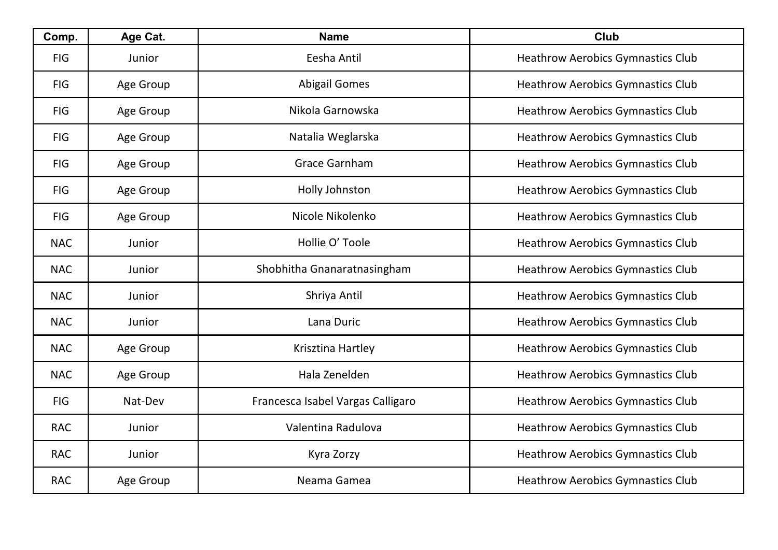| Comp.      | Age Cat.  | <b>Name</b>                       | <b>Club</b>                              |
|------------|-----------|-----------------------------------|------------------------------------------|
| <b>FIG</b> | Junior    | Eesha Antil                       | <b>Heathrow Aerobics Gymnastics Club</b> |
| <b>FIG</b> | Age Group | <b>Abigail Gomes</b>              | <b>Heathrow Aerobics Gymnastics Club</b> |
| <b>FIG</b> | Age Group | Nikola Garnowska                  | <b>Heathrow Aerobics Gymnastics Club</b> |
| <b>FIG</b> | Age Group | Natalia Weglarska                 | <b>Heathrow Aerobics Gymnastics Club</b> |
| <b>FIG</b> | Age Group | <b>Grace Garnham</b>              | <b>Heathrow Aerobics Gymnastics Club</b> |
| <b>FIG</b> | Age Group | Holly Johnston                    | <b>Heathrow Aerobics Gymnastics Club</b> |
| <b>FIG</b> | Age Group | Nicole Nikolenko                  | <b>Heathrow Aerobics Gymnastics Club</b> |
| <b>NAC</b> | Junior    | Hollie O' Toole                   | <b>Heathrow Aerobics Gymnastics Club</b> |
| <b>NAC</b> | Junior    | Shobhitha Gnanaratnasingham       | <b>Heathrow Aerobics Gymnastics Club</b> |
| <b>NAC</b> | Junior    | Shriya Antil                      | <b>Heathrow Aerobics Gymnastics Club</b> |
| <b>NAC</b> | Junior    | Lana Duric                        | <b>Heathrow Aerobics Gymnastics Club</b> |
| <b>NAC</b> | Age Group | Krisztina Hartley                 | <b>Heathrow Aerobics Gymnastics Club</b> |
| <b>NAC</b> | Age Group | Hala Zenelden                     | <b>Heathrow Aerobics Gymnastics Club</b> |
| <b>FIG</b> | Nat-Dev   | Francesca Isabel Vargas Calligaro | <b>Heathrow Aerobics Gymnastics Club</b> |
| <b>RAC</b> | Junior    | Valentina Radulova                | <b>Heathrow Aerobics Gymnastics Club</b> |
| <b>RAC</b> | Junior    | Kyra Zorzy                        | <b>Heathrow Aerobics Gymnastics Club</b> |
| <b>RAC</b> | Age Group | Neama Gamea                       | <b>Heathrow Aerobics Gymnastics Club</b> |